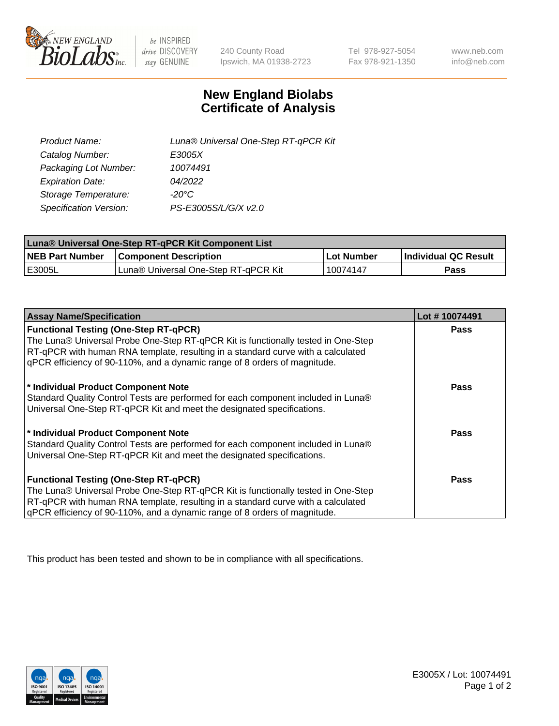

 $be$  INSPIRED drive DISCOVERY stay GENUINE

240 County Road Ipswich, MA 01938-2723 Tel 978-927-5054 Fax 978-921-1350 www.neb.com info@neb.com

## **New England Biolabs Certificate of Analysis**

| Product Name:           | Luna® Universal One-Step RT-qPCR Kit |
|-------------------------|--------------------------------------|
| Catalog Number:         | E3005X                               |
| Packaging Lot Number:   | 10074491                             |
| <b>Expiration Date:</b> | 04/2022                              |
| Storage Temperature:    | $-20^{\circ}$ C                      |
| Specification Version:  | PS-E3005S/L/G/X v2.0                 |

| Luna® Universal One-Step RT-qPCR Kit Component List |                                      |            |                      |  |
|-----------------------------------------------------|--------------------------------------|------------|----------------------|--|
| <b>NEB Part Number</b>                              | <b>Component Description</b>         | Lot Number | Individual QC Result |  |
| <b>IE3005L</b>                                      | Luna® Universal One-Step RT-qPCR Kit | 10074147   | Pass                 |  |

| <b>Assay Name/Specification</b>                                                   | Lot #10074491 |
|-----------------------------------------------------------------------------------|---------------|
| <b>Functional Testing (One-Step RT-qPCR)</b>                                      | <b>Pass</b>   |
| The Luna® Universal Probe One-Step RT-qPCR Kit is functionally tested in One-Step |               |
| RT-qPCR with human RNA template, resulting in a standard curve with a calculated  |               |
| qPCR efficiency of 90-110%, and a dynamic range of 8 orders of magnitude.         |               |
|                                                                                   |               |
| * Individual Product Component Note                                               | <b>Pass</b>   |
| Standard Quality Control Tests are performed for each component included in Luna® |               |
| Universal One-Step RT-qPCR Kit and meet the designated specifications.            |               |
|                                                                                   |               |
| * Individual Product Component Note                                               | Pass          |
| Standard Quality Control Tests are performed for each component included in Luna® |               |
| Universal One-Step RT-qPCR Kit and meet the designated specifications.            |               |
|                                                                                   |               |
| <b>Functional Testing (One-Step RT-qPCR)</b>                                      | Pass          |
| The Luna® Universal Probe One-Step RT-qPCR Kit is functionally tested in One-Step |               |
| RT-qPCR with human RNA template, resulting in a standard curve with a calculated  |               |
| gPCR efficiency of 90-110%, and a dynamic range of 8 orders of magnitude.         |               |

This product has been tested and shown to be in compliance with all specifications.